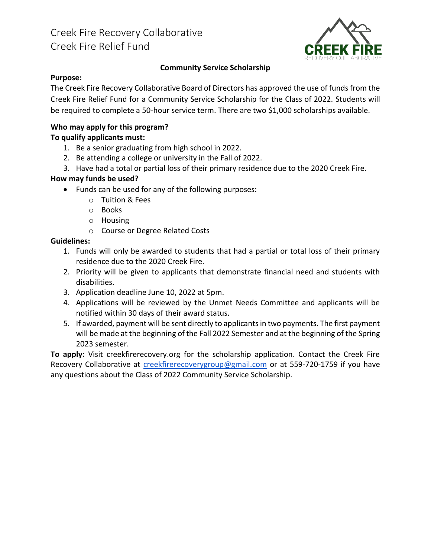# Creek Fire Recovery Collaborative Creek Fire Relief Fund



## **Community Service Scholarship**

### **Purpose:**

The Creek Fire Recovery Collaborative Board of Directors has approved the use of funds from the Creek Fire Relief Fund for a Community Service Scholarship for the Class of 2022. Students will be required to complete a 50-hour service term. There are two \$1,000 scholarships available.

## **Who may apply for this program?**

## **To qualify applicants must:**

- 1. Be a senior graduating from high school in 2022.
- 2. Be attending a college or university in the Fall of 2022.
- 3. Have had a total or partial loss of their primary residence due to the 2020 Creek Fire.

## **How may funds be used?**

- Funds can be used for any of the following purposes:
	- o Tuition & Fees
	- o Books
	- o Housing
	- o Course or Degree Related Costs

## **Guidelines:**

- 1. Funds will only be awarded to students that had a partial or total loss of their primary residence due to the 2020 Creek Fire.
- 2. Priority will be given to applicants that demonstrate financial need and students with disabilities.
- 3. Application deadline June 10, 2022 at 5pm.
- 4. Applications will be reviewed by the Unmet Needs Committee and applicants will be notified within 30 days of their award status.
- 5. If awarded, payment will be sent directly to applicants in two payments. The first payment will be made at the beginning of the Fall 2022 Semester and at the beginning of the Spring 2023 semester.

**To apply:** Visit creekfirerecovery.org for the scholarship application. Contact the Creek Fire Recovery Collaborative at [creekfirerecoverygroup@gmail.com](mailto:creekfirerecoverygroup@gmail.com) or at 559-720-1759 if you have any questions about the Class of 2022 Community Service Scholarship.